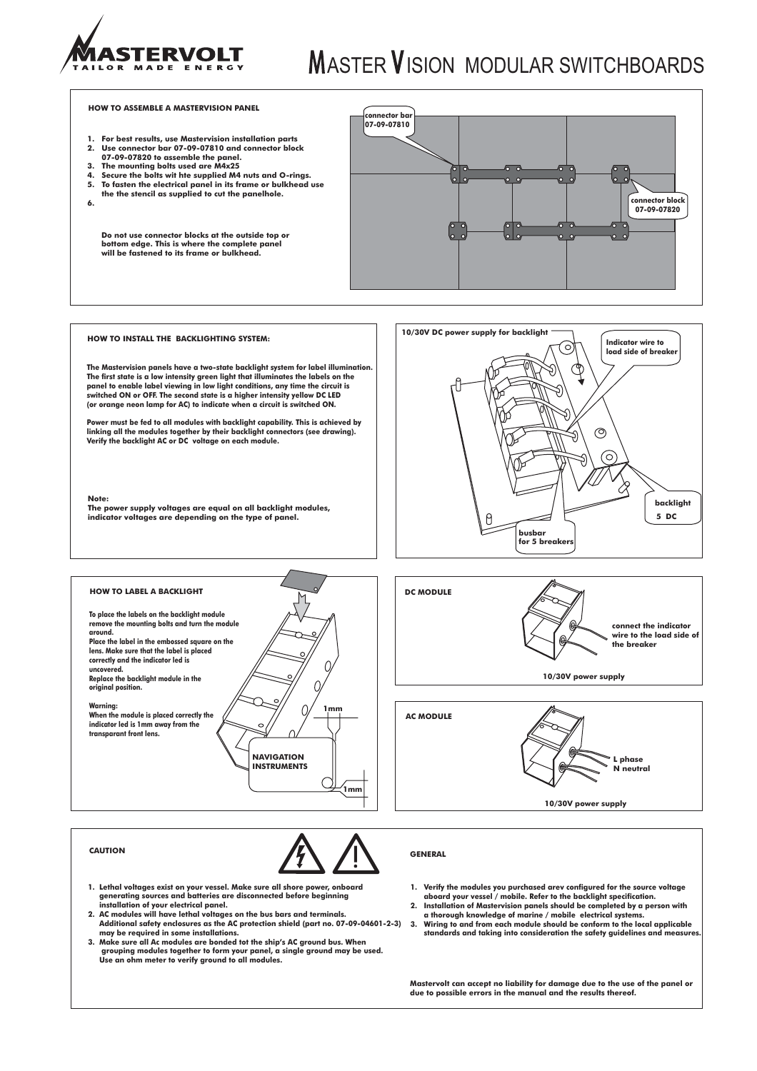

## **MASTER VISION MODULAR SWITCHBOARDS**

### **HOW TO ASSEMBLE A MASTERVISION PANEL**

- **1. For best results, use Mastervision installation parts 2. Use connector bar 07-09-07810 and connector block**
- **07-09-07820 to assemble the panel.**
- **3. The mounting bolts used are M4x25**
- **4. Secure the bolts wit hte supplied M4 nuts and O-rings.**
- **5. To fasten the electrical panel in its frame or bulkhead use the the stencil as supplied to cut the panelhole.**
- **6.**

**Do not use connector blocks at the outside top or bottom edge. This is where the complete panel will be fastened to its frame or bulkhead.**



### **HOW TO INSTALL THE BACKLIGHTING SYSTEM:**

**The Mastervision panels have a two-state backlight system for label illumination. The first state is a low intensity green light that illuminates the labels on the panel to enable label viewing in low light conditions, any time the circuit is switched ON or OFF. The second state is a higher intensity yellow DC LED (or orange neon lamp for AC) to indicate when a circuit is switched ON.**

**Power must be fed to all modules with backlight capability. This is achieved by linking all the modules together by their backlight connectors (see drawing). Verify the backlight AC or DC voltage on each module.**

## **Note:**

**The power supply voltages are equal on all backlight modules, indicator voltages are depending on the type of panel.**





![](_page_0_Picture_18.jpeg)

![](_page_0_Picture_19.jpeg)

![](_page_0_Picture_21.jpeg)

- **1. Lethal voltages exist on your vessel. Make sure all shore power, onboard generating sources and batteries are disconnected before beginning installation of your electrical panel. 2. AC modules will have lethal voltages on the bus bars and terminals.**
- **Additional safety enclosures as the AC protection shield (part no. 07-09-04601-2-3) may be required in some installations.**
- **3. Make sure all Ac modules are bonded tot the ship's AC ground bus. When grouping modules together to form your panel, a single ground may be used. Use an ohm meter to verify ground to all modules.**
- 
- **1. Verify the modules you purchased arev configured for the source voltage aboard your vessel / mobile. Refer to the backlight specification. 2. Installation of Mastervision panels should be completed by a person with a thorough knowledge of marine / mobile electrical systems.**
- **3. Wiring to and from each module should be conform to the local applicable standards and taking into consideration the safety guidelines and measures.**

**Mastervolt can accept no liability for damage due to the use of the panel or due to possible errors in the manual and the results thereof.**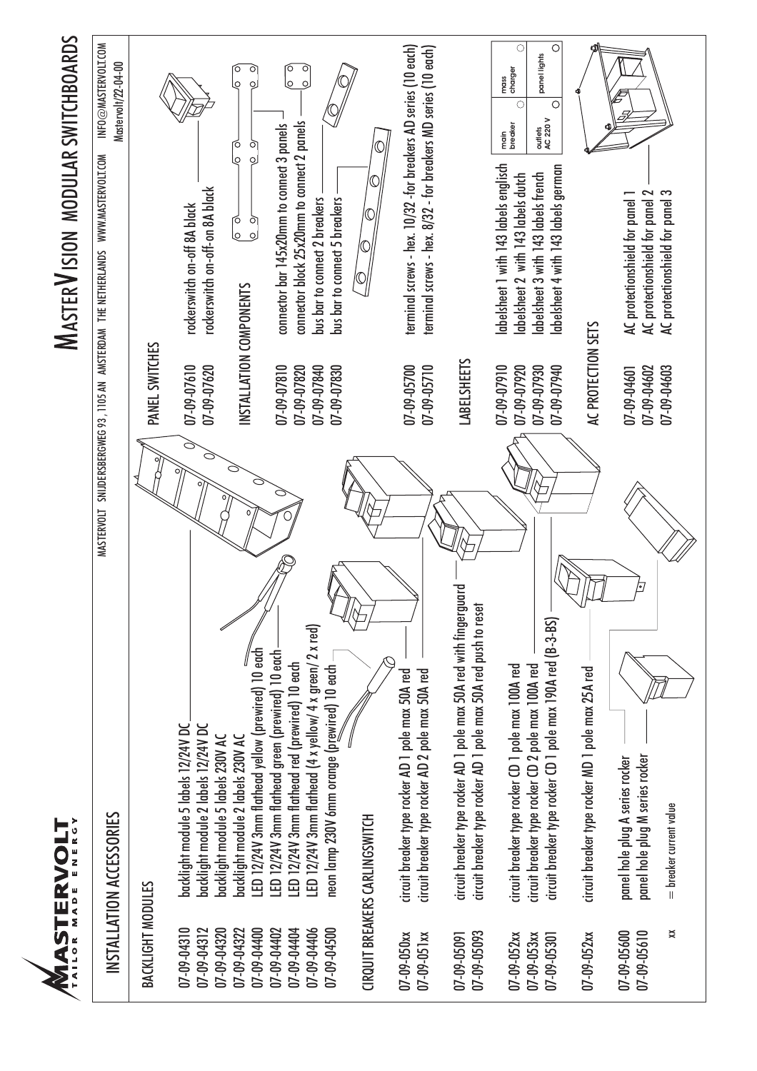![](_page_1_Picture_0.jpeg)

# **MASTER VISION MODULAR SWITCHBOARDS** ASTER ISION MODULAR SWITCHBOARDS

| INFO@MASTERVOLT.COM<br>Mastervolt/22-04-00                                                                     |                   |                                                                                                                 | O<br>σ<br>$\overline{Q}$<br>o<br>ſÓ<br>$\circ$<br>$\overline{\mathcal{Q}}$<br>$\circ$  | ା<br>ତ<br>$\circ$<br>$\overline{Q}$                                                                                                                            |                                              |                                |                                                                                                                                  |                                                                                                                                  | $\circ$<br>$\circ$<br>panel lights<br>mass<br>charger<br>$\circ$<br>C<br>outlets<br>AC 220 V<br>main<br>breaker                                                         |                                                   |                                                                                                       |                         |
|----------------------------------------------------------------------------------------------------------------|-------------------|-----------------------------------------------------------------------------------------------------------------|----------------------------------------------------------------------------------------|----------------------------------------------------------------------------------------------------------------------------------------------------------------|----------------------------------------------|--------------------------------|----------------------------------------------------------------------------------------------------------------------------------|----------------------------------------------------------------------------------------------------------------------------------|-------------------------------------------------------------------------------------------------------------------------------------------------------------------------|---------------------------------------------------|-------------------------------------------------------------------------------------------------------|-------------------------|
| MASTERVOLT SNUDERSBERGWEG 93, T105 AN AMSTERDAM THE NETHERLANDS WWW.MASTERVOLT.COM<br>INSTALLATION ACCESSORIES | PANEL SWITCHES    | rockerswitch on-off-on 8A black<br>rockerswitch on-off 8A black                                                 | t<br>G<br>े<br>०                                                                       | connector block 25x20mm to connect 2 panels<br>connector bar 145x20mm to connect 3 panels<br>bus bar to connect 5 breakers<br>bus bar to connect 2 breakers    |                                              |                                | terminal screws - hex. 10/32 -for breakers AD series (10 each)<br>terminal screws - hex. 8/32 - for breakers MD series (10 each) |                                                                                                                                  | labelsheet 1 with 143 labels englisch<br>labelsheet 4 with 143 labels german<br>abelsheet 2 with 143 labels dutch<br>labelsheet 3 with 143 labels french                |                                                   | AC protectionshield for panel 2<br>AC protectionshield for panel 3<br>AC protectionshield for panel 1 |                         |
|                                                                                                                |                   | 07-09-07610<br>07-09-07620                                                                                      | INSTALLATION COMPONENTS                                                                | 07-09-07820<br>07-09-07840<br>$07 - 09 - 07810$                                                                                                                | 07-09-07830                                  |                                | 07-09-05710<br>07-09-05700                                                                                                       | <b>LABELSHEETS</b>                                                                                                               | 07-09-07910<br>07-09-07920<br>07-09-07930<br>07-09-07940                                                                                                                | AC PROTECTION SETS                                | 07-09-04602<br>07-09-04601                                                                            | 07-09-04603             |
|                                                                                                                |                   |                                                                                                                 |                                                                                        |                                                                                                                                                                |                                              |                                |                                                                                                                                  | luard                                                                                                                            |                                                                                                                                                                         |                                                   |                                                                                                       |                         |
|                                                                                                                |                   | backlight module 5 labels 12/24V DC<br>backlight module 2 labels 12/24V DC<br>backlight module 5 labels 230V AC | LED 12/24V 3mm flathead yellow (prewired) 10 each<br>backlight module 2 labels 230V AC | LED 12/24V 3mm flathead (4 x yellow/ 4 x green/ 2 x red)<br>LED 12/24V 3mm flathead green (prewired) 10 each<br>LED 12/24V 3mm flathead red (prewired) 10 each | neon lamp 230V 6mm orange (prewired) 10 each | CIRQUIT BREAKERS CARLINGSWITCH | circuit breaker type rocker AD 2 pole max 50A red<br>circuit breaker type rocker AD 1 pole max 50A red                           | circuit breaker type rocker AD 1 pole max 50A red with fingerg<br>circuit breaker type rocker AD 1 pole max 50A red push to rese | circuit breaker type rocker CD 1 pole max 190A red (B-3-BS)<br>circuit breaker type rocker CD 2 pole max 100A red<br>circuit breaker type rocker CD 1 pole max 100A red | circuit breaker type rocker MD 1 pole max 25A red | panel hole plug M series rocker<br>panel hole plug A series rocker                                    | = breaker current value |
|                                                                                                                | BACKLIGHT MODULES | $07 - 09 - 04310$<br>07-09-04312<br>07-09-04320                                                                 | 07-09-04400<br>07-09-04322                                                             | 07-09-04406<br>07-09-04402<br>07-09-04404                                                                                                                      | 07-09-04500                                  |                                | 07-09-050xx<br>$07 - 09 - 051xx$                                                                                                 | 07-09-05093<br>07-09-05091                                                                                                       | 07-09-052xx<br>$07 - 09 - 053xx$<br>07-09-05301                                                                                                                         | $07 - 09 - 052xx$                                 | 07-09-05600<br>07-09-05610                                                                            | ✖                       |